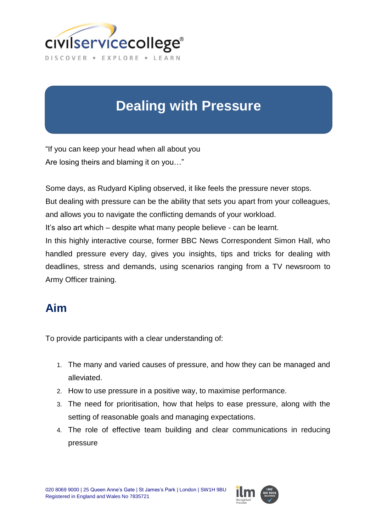

# **Dealing with Pressure**

"If you can keep your head when all about you Are losing theirs and blaming it on you…"

Some days, as Rudyard Kipling observed, it like feels the pressure never stops.

But dealing with pressure can be the ability that sets you apart from your colleagues, and allows you to navigate the conflicting demands of your workload.

It's also art which – despite what many people believe - can be learnt.

In this highly interactive course, former BBC News Correspondent Simon Hall, who handled pressure every day, gives you insights, tips and tricks for dealing with deadlines, stress and demands, using scenarios ranging from a TV newsroom to Army Officer training.

### **Aim**

To provide participants with a clear understanding of:

- 1. The many and varied causes of pressure, and how they can be managed and alleviated.
- 2. How to use pressure in a positive way, to maximise performance.
- 3. The need for prioritisation, how that helps to ease pressure, along with the setting of reasonable goals and managing expectations.
- 4. The role of effective team building and clear communications in reducing pressure

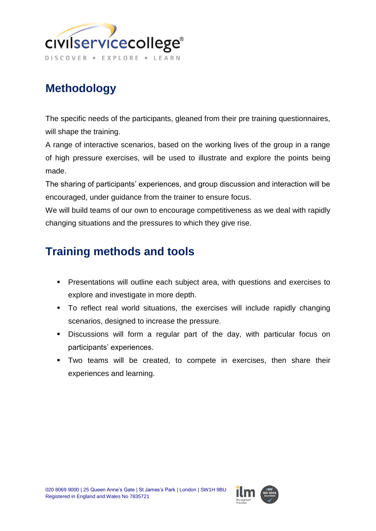

# **Methodology**

The specific needs of the participants, gleaned from their pre training questionnaires, will shape the training.

A range of interactive scenarios, based on the working lives of the group in a range of high pressure exercises, will be used to illustrate and explore the points being made.

The sharing of participants' experiences, and group discussion and interaction will be encouraged, under guidance from the trainer to ensure focus.

We will build teams of our own to encourage competitiveness as we deal with rapidly changing situations and the pressures to which they give rise.

### **Training methods and tools**

- **Presentations will outline each subject area, with questions and exercises to** explore and investigate in more depth.
- To reflect real world situations, the exercises will include rapidly changing scenarios, designed to increase the pressure.
- Discussions will form a regular part of the day, with particular focus on participants' experiences.
- Two teams will be created, to compete in exercises, then share their experiences and learning.

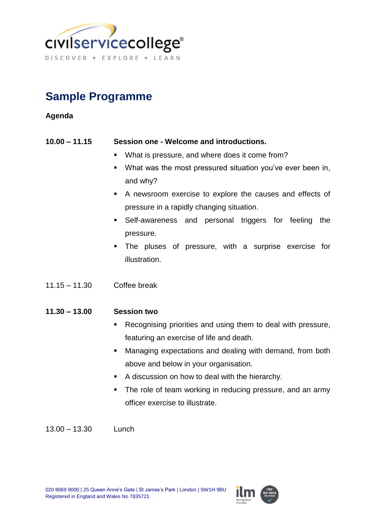

## **Sample Programme**

#### **Agenda**

#### **10.00 – 11.15 Session one - Welcome and introductions.**

- **What is pressure, and where does it come from?**
- What was the most pressured situation you've ever been in, and why?
- A newsroom exercise to explore the causes and effects of pressure in a rapidly changing situation.
- Self-awareness and personal triggers for feeling the pressure.
- The pluses of pressure, with a surprise exercise for illustration.
- 11.15 11.30 Coffee break

#### **11.30 – 13.00 Session two**

- **Recognising priorities and using them to deal with pressure,** featuring an exercise of life and death.
- **Managing expectations and dealing with demand, from both** above and below in your organisation.
- A discussion on how to deal with the hierarchy.
- The role of team working in reducing pressure, and an army officer exercise to illustrate.

13.00 – 13.30 Lunch